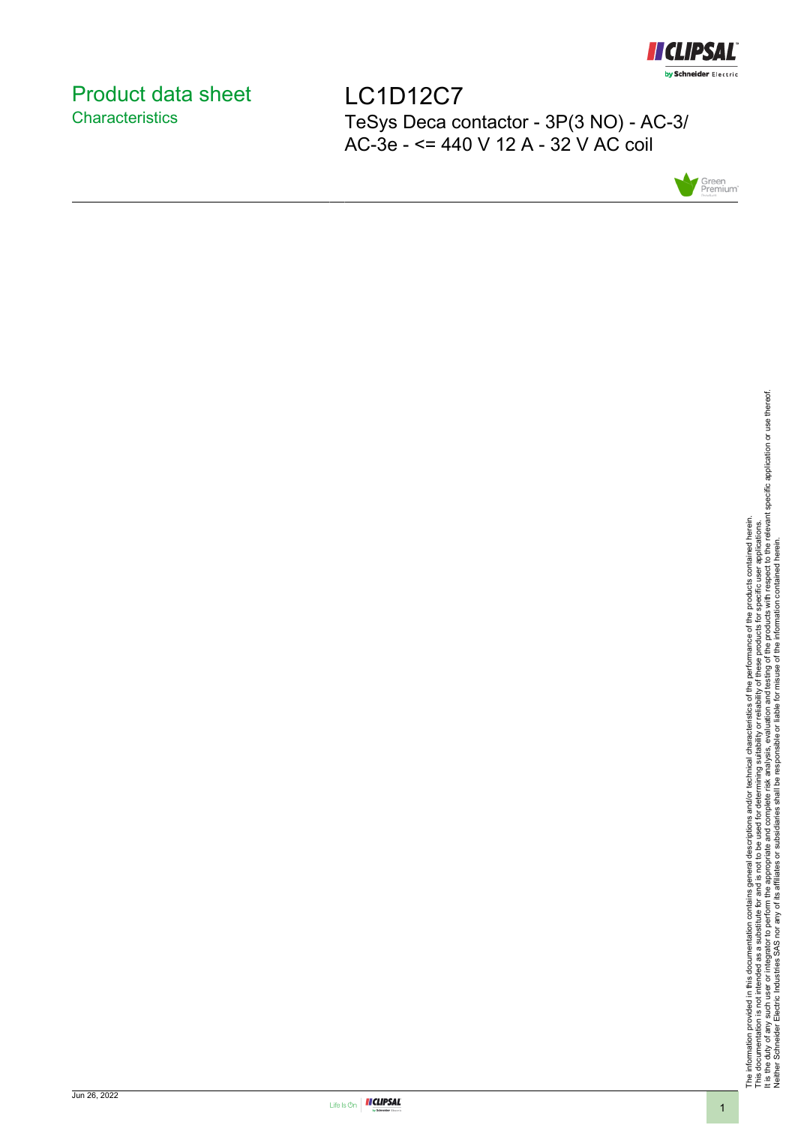

# <span id="page-0-0"></span>Product data sheet **Characteristics**

LC1D12C7 TeSys Deca contactor - 3P(3 NO) - AC-3/ AC-3e - <= 440 V 12 A - 32 V AC coil



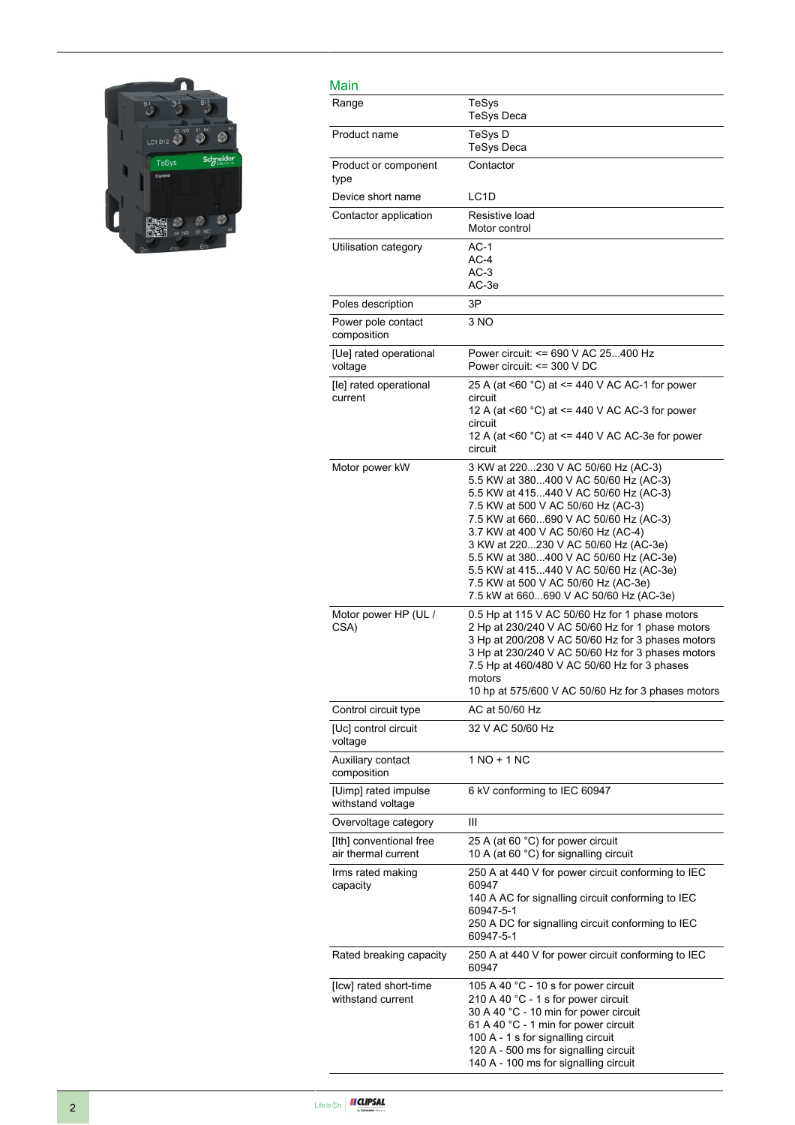

| Main                                           |                                                                                                                                                                                                                                                                                                                                                                                                                                                         |
|------------------------------------------------|---------------------------------------------------------------------------------------------------------------------------------------------------------------------------------------------------------------------------------------------------------------------------------------------------------------------------------------------------------------------------------------------------------------------------------------------------------|
| Range                                          | TeSys<br><b>TeSys Deca</b>                                                                                                                                                                                                                                                                                                                                                                                                                              |
| Product name                                   | TeSys D<br><b>TeSys Deca</b>                                                                                                                                                                                                                                                                                                                                                                                                                            |
| Product or component<br>type                   | Contactor                                                                                                                                                                                                                                                                                                                                                                                                                                               |
| Device short name                              | LC <sub>1</sub> D                                                                                                                                                                                                                                                                                                                                                                                                                                       |
| Contactor application                          | Resistive load<br>Motor control                                                                                                                                                                                                                                                                                                                                                                                                                         |
| Utilisation category                           | $AC-1$<br>$AC-4$<br>$AC-3$<br>AC-3e                                                                                                                                                                                                                                                                                                                                                                                                                     |
| Poles description                              | 3P                                                                                                                                                                                                                                                                                                                                                                                                                                                      |
| Power pole contact<br>composition              | 3 NO                                                                                                                                                                                                                                                                                                                                                                                                                                                    |
| [Ue] rated operational<br>voltage              | Power circuit: <= 690 V AC 25400 Hz<br>Power circuit: $\leq$ 300 V DC                                                                                                                                                                                                                                                                                                                                                                                   |
| [le] rated operational<br>current              | 25 A (at <60 °C) at <= 440 V AC AC-1 for power<br>circuit<br>12 A (at <60 °C) at <= 440 V AC AC-3 for power<br>circuit<br>12 A (at <60 °C) at <= 440 V AC AC-3e for power<br>circuit                                                                                                                                                                                                                                                                    |
| Motor power kW                                 | 3 KW at 220230 V AC 50/60 Hz (AC-3)<br>5.5 KW at 380400 V AC 50/60 Hz (AC-3)<br>5.5 KW at 415440 V AC 50/60 Hz (AC-3)<br>7.5 KW at 500 V AC 50/60 Hz (AC-3)<br>7.5 KW at 660690 V AC 50/60 Hz (AC-3)<br>3.7 KW at 400 V AC 50/60 Hz (AC-4)<br>3 KW at 220230 V AC 50/60 Hz (AC-3e)<br>5.5 KW at 380400 V AC 50/60 Hz (AC-3e)<br>5.5 KW at 415440 V AC 50/60 Hz (AC-3e)<br>7.5 KW at 500 V AC 50/60 Hz (AC-3e)<br>7.5 kW at 660690 V AC 50/60 Hz (AC-3e) |
| Motor power HP (UL /<br>CSA)                   | 0.5 Hp at 115 V AC 50/60 Hz for 1 phase motors<br>2 Hp at 230/240 V AC 50/60 Hz for 1 phase motors<br>3 Hp at 200/208 V AC 50/60 Hz for 3 phases motors<br>3 Hp at 230/240 V AC 50/60 Hz for 3 phases motors<br>7.5 Hp at 460/480 V AC 50/60 Hz for 3 phases<br>motors<br>10 hp at 575/600 V AC 50/60 Hz for 3 phases motors                                                                                                                            |
| Control circuit type                           | AC at 50/60 Hz                                                                                                                                                                                                                                                                                                                                                                                                                                          |
| [Uc] control circuit<br>voltage                | 32 V AC 50/60 Hz                                                                                                                                                                                                                                                                                                                                                                                                                                        |
| Auxiliary contact<br>composition               | 1 NO + 1 NC                                                                                                                                                                                                                                                                                                                                                                                                                                             |
| [Uimp] rated impulse<br>withstand voltage      | 6 kV conforming to IEC 60947                                                                                                                                                                                                                                                                                                                                                                                                                            |
| Overvoltage category                           | Ш                                                                                                                                                                                                                                                                                                                                                                                                                                                       |
| [Ith] conventional free<br>air thermal current | 25 A (at 60 °C) for power circuit<br>10 A (at 60 $^{\circ}$ C) for signalling circuit                                                                                                                                                                                                                                                                                                                                                                   |
| Irms rated making<br>capacity                  | 250 A at 440 V for power circuit conforming to IEC<br>60947<br>140 A AC for signalling circuit conforming to IEC<br>60947-5-1<br>250 A DC for signalling circuit conforming to IEC<br>60947-5-1                                                                                                                                                                                                                                                         |
| Rated breaking capacity                        | 250 A at 440 V for power circuit conforming to IEC<br>60947                                                                                                                                                                                                                                                                                                                                                                                             |
| [Icw] rated short-time<br>withstand current    | 105 A 40 °C - 10 s for power circuit<br>210 A 40 °C - 1 s for power circuit<br>30 A 40 °C - 10 min for power circuit<br>61 A 40 °C - 1 min for power circuit<br>100 A - 1 s for signalling circuit<br>120 A - 500 ms for signalling circuit<br>140 A - 100 ms for signalling circuit                                                                                                                                                                    |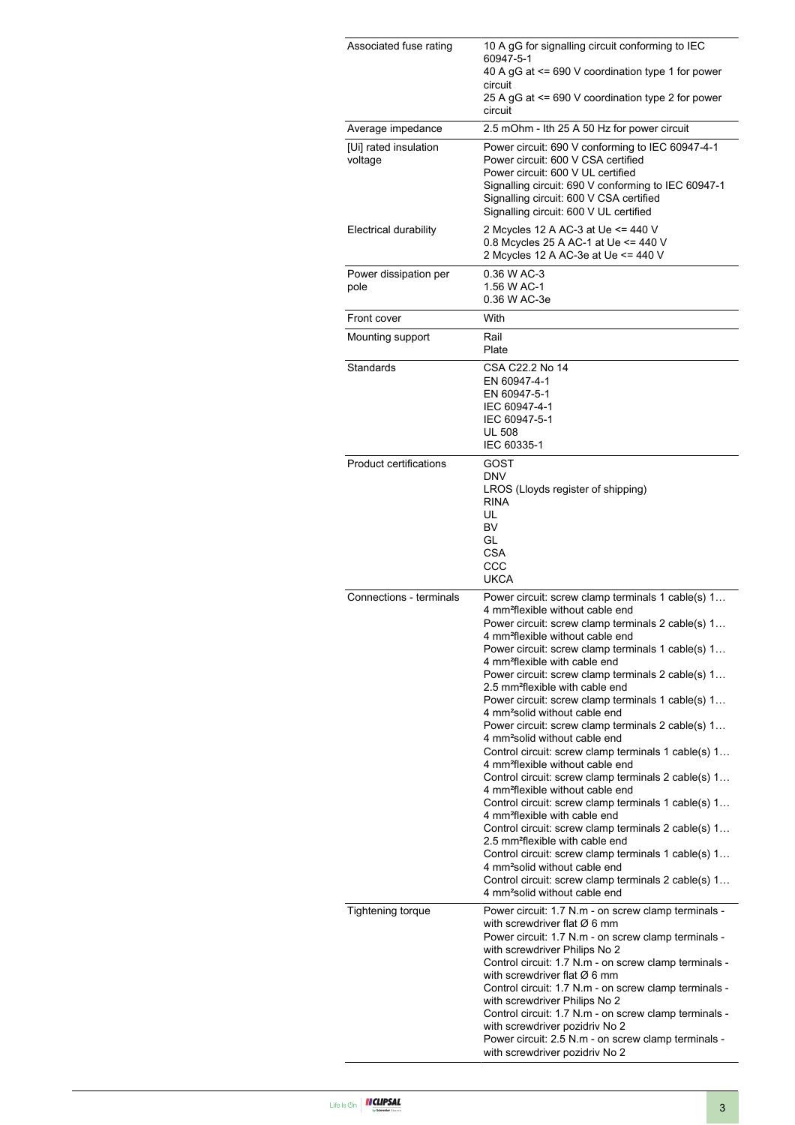| Associated fuse rating           | 10 A gG for signalling circuit conforming to IEC<br>60947-5-1<br>40 A gG at <= 690 V coordination type 1 for power<br>circuit<br>25 A gG at <= 690 V coordination type 2 for power                                                                                                                                                                                                                                                                                                                                                                                                                                                                                                                                                                                                                                                                                                                                                                                                                                                                                                                                                                                                                                                               |
|----------------------------------|--------------------------------------------------------------------------------------------------------------------------------------------------------------------------------------------------------------------------------------------------------------------------------------------------------------------------------------------------------------------------------------------------------------------------------------------------------------------------------------------------------------------------------------------------------------------------------------------------------------------------------------------------------------------------------------------------------------------------------------------------------------------------------------------------------------------------------------------------------------------------------------------------------------------------------------------------------------------------------------------------------------------------------------------------------------------------------------------------------------------------------------------------------------------------------------------------------------------------------------------------|
| Average impedance                | circuit<br>2.5 mOhm - Ith 25 A 50 Hz for power circuit                                                                                                                                                                                                                                                                                                                                                                                                                                                                                                                                                                                                                                                                                                                                                                                                                                                                                                                                                                                                                                                                                                                                                                                           |
| [Ui] rated insulation<br>voltage | Power circuit: 690 V conforming to IEC 60947-4-1<br>Power circuit: 600 V CSA certified<br>Power circuit: 600 V UL certified<br>Signalling circuit: 690 V conforming to IEC 60947-1<br>Signalling circuit: 600 V CSA certified<br>Signalling circuit: 600 V UL certified                                                                                                                                                                                                                                                                                                                                                                                                                                                                                                                                                                                                                                                                                                                                                                                                                                                                                                                                                                          |
| Electrical durability            | 2 Mcycles 12 A AC-3 at Ue <= 440 V<br>0.8 Mcycles 25 A AC-1 at Ue <= 440 V<br>2 Mcycles 12 A AC-3e at Ue <= 440 V                                                                                                                                                                                                                                                                                                                                                                                                                                                                                                                                                                                                                                                                                                                                                                                                                                                                                                                                                                                                                                                                                                                                |
| Power dissipation per<br>pole    | 0.36 W AC-3<br>1.56 W AC-1<br>0.36 W AC-3e                                                                                                                                                                                                                                                                                                                                                                                                                                                                                                                                                                                                                                                                                                                                                                                                                                                                                                                                                                                                                                                                                                                                                                                                       |
| Front cover                      | With                                                                                                                                                                                                                                                                                                                                                                                                                                                                                                                                                                                                                                                                                                                                                                                                                                                                                                                                                                                                                                                                                                                                                                                                                                             |
| Mounting support                 | Rail<br>Plate                                                                                                                                                                                                                                                                                                                                                                                                                                                                                                                                                                                                                                                                                                                                                                                                                                                                                                                                                                                                                                                                                                                                                                                                                                    |
| Standards                        | CSA C22.2 No 14<br>EN 60947-4-1<br>EN 60947-5-1<br>IEC 60947-4-1<br>IEC 60947-5-1<br><b>UL 508</b><br>IEC 60335-1                                                                                                                                                                                                                                                                                                                                                                                                                                                                                                                                                                                                                                                                                                                                                                                                                                                                                                                                                                                                                                                                                                                                |
| Product certifications           | GOST<br><b>DNV</b><br>LROS (Lloyds register of shipping)<br><b>RINA</b><br>UL<br><b>BV</b><br>GL<br><b>CSA</b><br>CCC<br><b>UKCA</b>                                                                                                                                                                                                                                                                                                                                                                                                                                                                                                                                                                                                                                                                                                                                                                                                                                                                                                                                                                                                                                                                                                             |
| Connections - terminals          | Power circuit: screw clamp terminals 1 cable(s) 1<br>4 mm <sup>2</sup> flexible without cable end<br>Power circuit: screw clamp terminals 2 cable(s) 1<br>4 mm <sup>2</sup> flexible without cable end<br>Power circuit: screw clamp terminals 1 cable(s) 1<br>4 mm <sup>2</sup> flexible with cable end<br>Power circuit: screw clamp terminals 2 cable(s) 1<br>2.5 mm <sup>2</sup> flexible with cable end<br>Power circuit: screw clamp terminals 1 cable(s) 1<br>4 mm <sup>2</sup> solid without cable end<br>Power circuit: screw clamp terminals 2 cable(s) 1<br>4 mm <sup>2</sup> solid without cable end<br>Control circuit: screw clamp terminals 1 cable(s) 1<br>4 mm <sup>2</sup> flexible without cable end<br>Control circuit: screw clamp terminals 2 cable(s) 1<br>4 mm <sup>2</sup> flexible without cable end<br>Control circuit: screw clamp terminals 1 cable(s) 1<br>4 mm <sup>2</sup> flexible with cable end<br>Control circuit: screw clamp terminals 2 cable(s) 1<br>2.5 mm <sup>2</sup> flexible with cable end<br>Control circuit: screw clamp terminals 1 cable(s) 1<br>4 mm <sup>2</sup> solid without cable end<br>Control circuit: screw clamp terminals 2 cable(s) 1<br>4 mm <sup>2</sup> solid without cable end |
| <b>Tightening torque</b>         | Power circuit: 1.7 N.m - on screw clamp terminals -<br>with screwdriver flat $\varnothing$ 6 mm<br>Power circuit: 1.7 N.m - on screw clamp terminals -<br>with screwdriver Philips No 2<br>Control circuit: 1.7 N.m - on screw clamp terminals -<br>with screwdriver flat $\varnothing$ 6 mm<br>Control circuit: 1.7 N.m - on screw clamp terminals -<br>with screwdriver Philips No 2<br>Control circuit: 1.7 N.m - on screw clamp terminals -<br>with screwdriver pozidriv No 2<br>Power circuit: 2.5 N.m - on screw clamp terminals -<br>with screwdriver pozidriv No 2                                                                                                                                                                                                                                                                                                                                                                                                                                                                                                                                                                                                                                                                       |

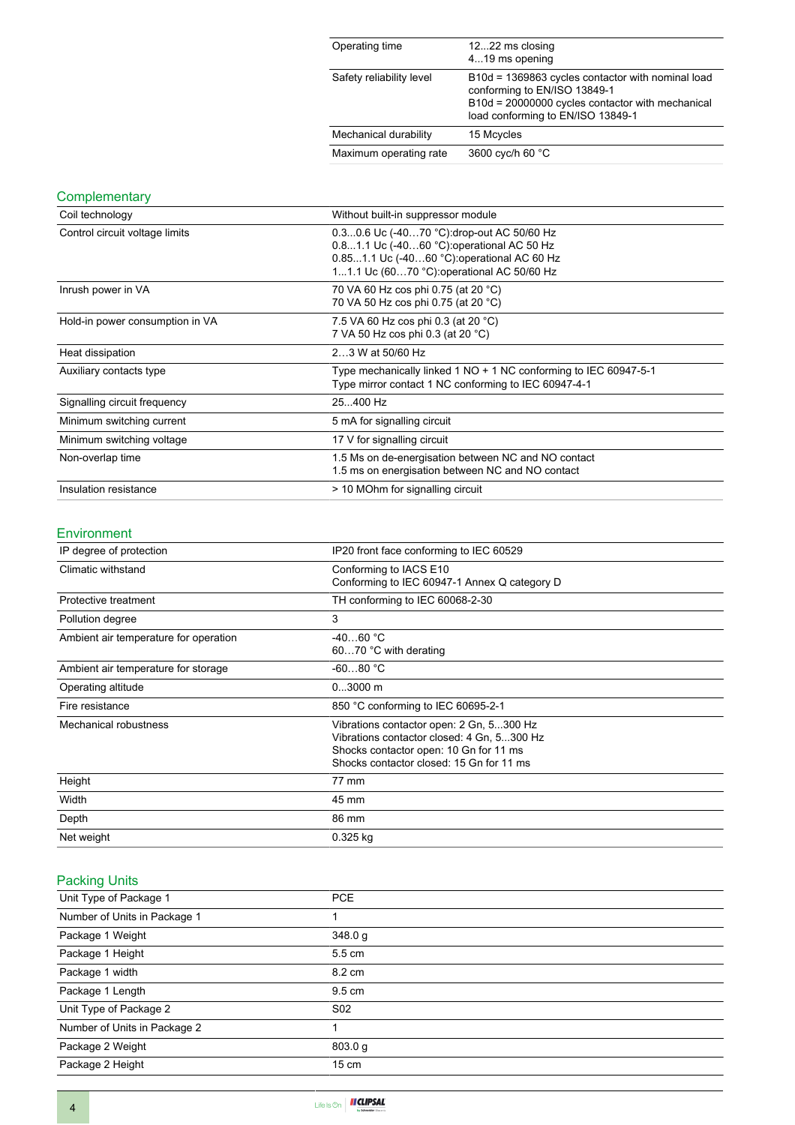| Operating time           | 1222 ms closing<br>419 ms opening                                                                                                                                          |
|--------------------------|----------------------------------------------------------------------------------------------------------------------------------------------------------------------------|
| Safety reliability level | B10d = 1369863 cycles contactor with nominal load<br>conforming to EN/ISO 13849-1<br>B10d = 20000000 cycles contactor with mechanical<br>load conforming to EN/ISO 13849-1 |
| Mechanical durability    | 15 Mcycles                                                                                                                                                                 |
| Maximum operating rate   | 3600 cyc/h 60 °C                                                                                                                                                           |

## **Complementary**

| Coil technology                 | Without built-in suppressor module                                                                                                                                                   |
|---------------------------------|--------------------------------------------------------------------------------------------------------------------------------------------------------------------------------------|
| Control circuit voltage limits  | 0.30.6 Uc (-4070 °C): drop-out AC 50/60 Hz<br>0.81.1 Uc (-4060 °C): operational AC 50 Hz<br>0.851.1 Uc (-4060 °C):operational AC 60 Hz<br>11.1 Uc (6070 °C): operational AC 50/60 Hz |
| Inrush power in VA              | 70 VA 60 Hz cos phi 0.75 (at 20 °C)<br>70 VA 50 Hz cos phi 0.75 (at 20 °C)                                                                                                           |
| Hold-in power consumption in VA | 7.5 VA 60 Hz cos phi 0.3 (at 20 °C)<br>7 VA 50 Hz cos phi 0.3 (at 20 °C)                                                                                                             |
| Heat dissipation                | 23 W at 50/60 Hz                                                                                                                                                                     |
| Auxiliary contacts type         | Type mechanically linked 1 NO + 1 NC conforming to IEC 60947-5-1<br>Type mirror contact 1 NC conforming to IEC 60947-4-1                                                             |
| Signalling circuit frequency    | 25400 Hz                                                                                                                                                                             |
| Minimum switching current       | 5 mA for signalling circuit                                                                                                                                                          |
| Minimum switching voltage       | 17 V for signalling circuit                                                                                                                                                          |
| Non-overlap time                | 1.5 Ms on de-energisation between NC and NO contact<br>1.5 ms on energisation between NC and NO contact                                                                              |
| Insulation resistance           | > 10 MOhm for signalling circuit                                                                                                                                                     |

#### Environment

| IP degree of protection               | IP20 front face conforming to IEC 60529                                                                                                                                      |  |
|---------------------------------------|------------------------------------------------------------------------------------------------------------------------------------------------------------------------------|--|
| Climatic withstand                    | Conforming to IACS E10<br>Conforming to IEC 60947-1 Annex Q category D                                                                                                       |  |
| Protective treatment                  | TH conforming to IEC 60068-2-30                                                                                                                                              |  |
| Pollution degree                      | 3                                                                                                                                                                            |  |
| Ambient air temperature for operation | $-4060 °C$<br>6070 °C with derating                                                                                                                                          |  |
| Ambient air temperature for storage   | $-6080 °C$                                                                                                                                                                   |  |
| Operating altitude                    | $03000$ m                                                                                                                                                                    |  |
| Fire resistance                       | 850 °C conforming to IEC 60695-2-1                                                                                                                                           |  |
| Mechanical robustness                 | Vibrations contactor open: 2 Gn, 5300 Hz<br>Vibrations contactor closed: 4 Gn, 5300 Hz<br>Shocks contactor open: 10 Gn for 11 ms<br>Shocks contactor closed: 15 Gn for 11 ms |  |
| Height                                | 77 mm                                                                                                                                                                        |  |
| Width                                 | 45 mm                                                                                                                                                                        |  |
| Depth                                 | 86 mm                                                                                                                                                                        |  |
| Net weight                            | $0.325$ kg                                                                                                                                                                   |  |

## Packing Units

| Unit Type of Package 1       | <b>PCE</b>       |
|------------------------------|------------------|
| Number of Units in Package 1 |                  |
| Package 1 Weight             | 348.0 g          |
| Package 1 Height             | 5.5 cm           |
| Package 1 width              | 8.2 cm           |
| Package 1 Length             | $9.5 \text{ cm}$ |
| Unit Type of Package 2       | S <sub>02</sub>  |
| Number of Units in Package 2 |                  |
| Package 2 Weight             | 803.0 g          |
| Package 2 Height             | $15 \text{ cm}$  |